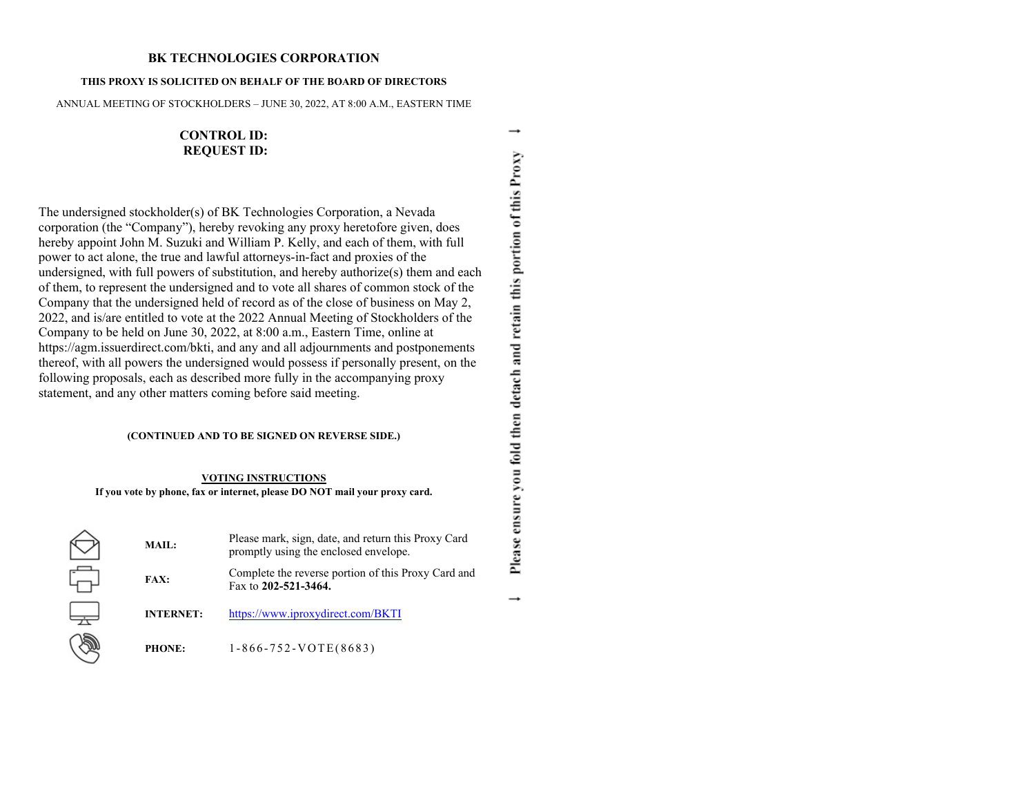## **BK TECHNOLOGIES CORPORATION**

### **THIS PROXY IS SOLICITED ON BEHALF OF THE BOARD OF DIRECTORS**

ANNUAL MEETING OF STOCKHOLDERS – JUNE 30, 2022, AT 8:00 A.M., EASTERN TIME

**CONTROL ID: REQUEST ID:**

The undersigned stockholder(s) of BK Technologies Corporation, a Nevada corporation (the "Company"), hereby revoking any proxy heretofore given, does hereby appoint John M. Suzuki and William P. Kelly, and each of them, with full power to act alone, the true and lawful attorneys-in-fact and proxies of the undersigned, with full powers of substitution, and hereby authorize(s) them and each of them, to represent the undersigned and to vote all shares of common stock of the Company that the undersigned held of record as of the close of business on May 2, 2022, and is/are entitled to vote at the 2022 Annual Meeting of Stockholders of the Company to be held on June 30, 2022, at 8:00 a.m., Eastern Time, online at https://agm.issuerdirect.com/bkti, and any and all adjournments and postponements thereof, with all powers the undersigned would possess if personally present, on the following proposals, each as described more fully in the accompanying proxy statement, and any other matters coming before said meeting.

## **(CONTINUED AND TO BE SIGNED ON REVERSE SIDE.)**

### **VOTING INSTRUCTIONS**

**If you vote by phone, fax or internet, please DO NOT mail your proxy card.**

2000 0

| MAIL:            | Please mark, sign, date, and return this Proxy Card<br>promptly using the enclosed envelope. |  |  |
|------------------|----------------------------------------------------------------------------------------------|--|--|
| <b>FAX:</b>      | Complete the reverse portion of this Proxy Card and<br>Fax to 202-521-3464.                  |  |  |
| <b>INTERNET:</b> | https://www.iproxydirect.com/BKTI                                                            |  |  |
| <b>PHONE:</b>    | $1-866-752-VOTE(8683)$                                                                       |  |  |

Please ensure you fold then detach and retain this portion of this Proxy  $\rightarrow$